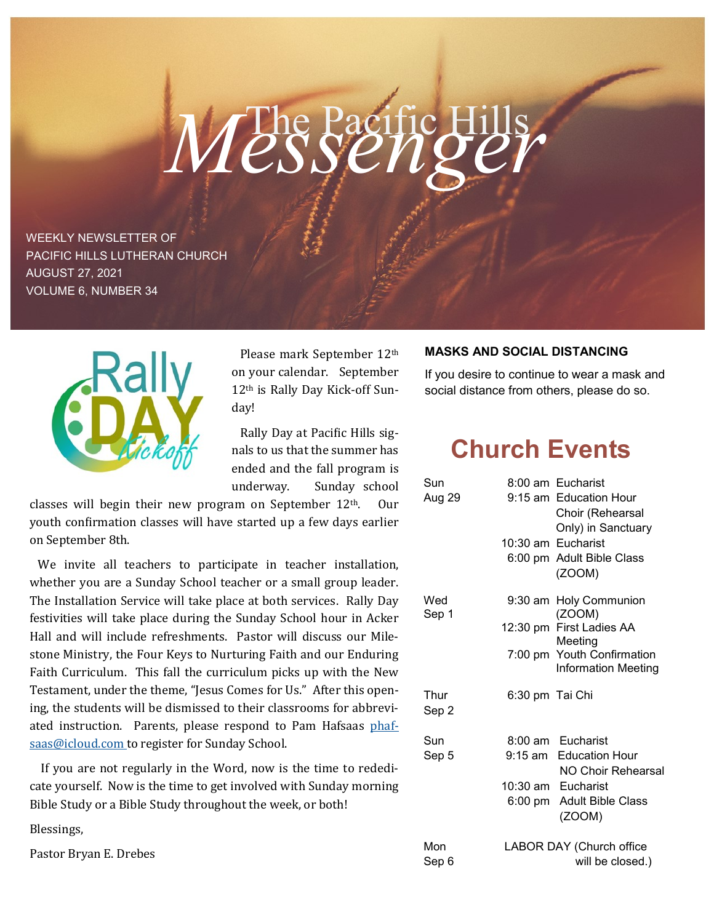# Messenge

WEEKLY NEWSLETTER OF PACIFIC HILLS LUTHERAN CHURCH AUGUST 27, 2021 VOLUME 6, NUMBER 34



 Please mark September 12th on your calendar. September 12th is Rally Day Kick-off Sunday!

 Rally Day at Pacific Hills signals to us that the summer has ended and the fall program is underway. Sunday school

classes will begin their new program on September 12th. Our youth confirmation classes will have started up a few days earlier on September 8th.

 We invite all teachers to participate in teacher installation, whether you are a Sunday School teacher or a small group leader. The Installation Service will take place at both services. Rally Day festivities will take place during the Sunday School hour in Acker Hall and will include refreshments. Pastor will discuss our Milestone Ministry, the Four Keys to Nurturing Faith and our Enduring Faith Curriculum. This fall the curriculum picks up with the New Testament, under the theme, "Jesus Comes for Us." After this opening, the students will be dismissed to their classrooms for abbreviated instruction. Parents, please respond to Pam Hafsaas phafsaas@icloud.com to register for Sunday School.

 If you are not regularly in the Word, now is the time to rededicate yourself. Now is the time to get involved with Sunday morning Bible Study or a Bible Study throughout the week, or both!

Blessings,

Pastor Bryan E. Drebes

#### **MASKS AND SOCIAL DISTANCING**

If you desire to continue to wear a mask and social distance from others, please do so.

## **Church Events**

| Sun           |                          | 8:00 am Eucharist                                        |
|---------------|--------------------------|----------------------------------------------------------|
| Aug 29        |                          | 9:15 am Education Hour                                   |
|               |                          | Choir (Rehearsal                                         |
|               |                          | Only) in Sanctuary                                       |
|               |                          | 10:30 am Eucharist                                       |
|               |                          | 6:00 pm Adult Bible Class                                |
|               |                          | (ZOOM)                                                   |
| Wed<br>Sep 1  |                          | 9:30 am Holy Communion                                   |
|               |                          | (ZOOM)                                                   |
|               |                          | 12:30 pm First Ladies AA                                 |
|               |                          | Meeting                                                  |
|               |                          | 7:00 pm Youth Confirmation<br><b>Information Meeting</b> |
| Thur<br>Sep 2 | 6:30 pm Tai Chi          |                                                          |
| Sun           |                          | 8:00 am Eucharist                                        |
| Sep 5         |                          | 9:15 am Education Hour                                   |
|               |                          | NO Choir Rehearsal                                       |
|               |                          | 10:30 am Eucharist                                       |
|               |                          | 6:00 pm Adult Bible Class<br>(ZOOM)                      |
| Mon           | LABOR DAY (Church office |                                                          |
| Sep 6         | will be closed.)         |                                                          |